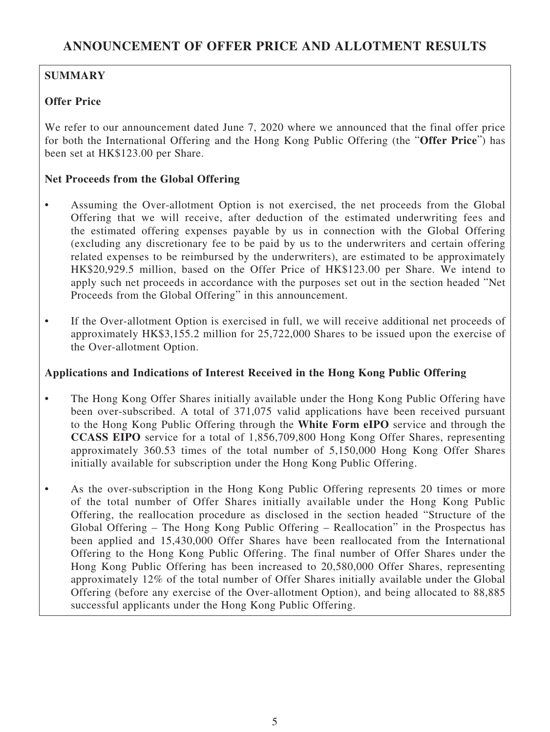# **SUMMARY**

# **Offer Price**

We refer to our announcement dated June 7, 2020 where we announced that the final offer price for both the International Offering and the Hong Kong Public Offering (the "**Offer Price**") has been set at HK\$123.00 per Share.

# **Net Proceeds from the Global Offering**

- Assuming the Over-allotment Option is not exercised, the net proceeds from the Global Offering that we will receive, after deduction of the estimated underwriting fees and the estimated offering expenses payable by us in connection with the Global Offering (excluding any discretionary fee to be paid by us to the underwriters and certain offering related expenses to be reimbursed by the underwriters), are estimated to be approximately HK\$20,929.5 million, based on the Offer Price of HK\$123.00 per Share. We intend to apply such net proceeds in accordance with the purposes set out in the section headed "Net Proceeds from the Global Offering" in this announcement.
- If the Over-allotment Option is exercised in full, we will receive additional net proceeds of approximately HK\$3,155.2 million for 25,722,000 Shares to be issued upon the exercise of the Over-allotment Option.

## **Applications and Indications of Interest Received in the Hong Kong Public Offering**

- The Hong Kong Offer Shares initially available under the Hong Kong Public Offering have been over-subscribed. A total of 371,075 valid applications have been received pursuant to the Hong Kong Public Offering through the **White Form eIPO** service and through the **CCASS EIPO** service for a total of 1,856,709,800 Hong Kong Offer Shares, representing approximately 360.53 times of the total number of 5,150,000 Hong Kong Offer Shares initially available for subscription under the Hong Kong Public Offering.
- As the over-subscription in the Hong Kong Public Offering represents 20 times or more of the total number of Offer Shares initially available under the Hong Kong Public Offering, the reallocation procedure as disclosed in the section headed "Structure of the Global Offering – The Hong Kong Public Offering – Reallocation" in the Prospectus has been applied and 15,430,000 Offer Shares have been reallocated from the International Offering to the Hong Kong Public Offering. The final number of Offer Shares under the Hong Kong Public Offering has been increased to 20,580,000 Offer Shares, representing approximately 12% of the total number of Offer Shares initially available under the Global Offering (before any exercise of the Over-allotment Option), and being allocated to 88,885 successful applicants under the Hong Kong Public Offering.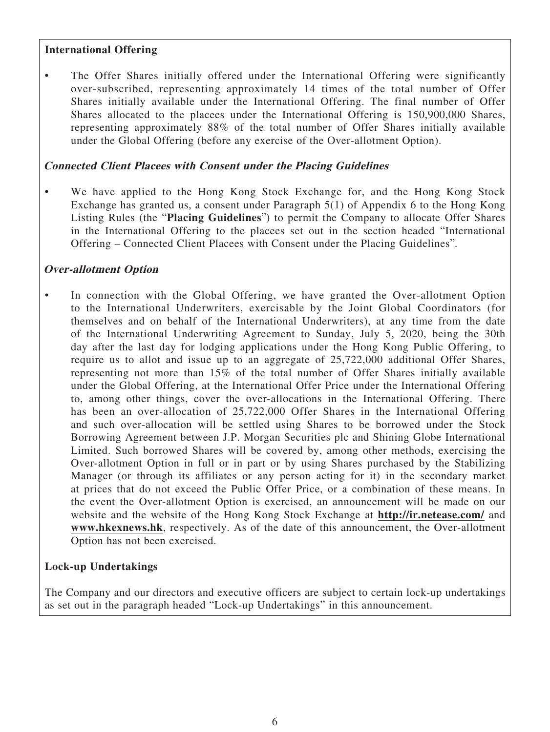#### **International Offering**

The Offer Shares initially offered under the International Offering were significantly over-subscribed, representing approximately 14 times of the total number of Offer Shares initially available under the International Offering. The final number of Offer Shares allocated to the placees under the International Offering is 150,900,000 Shares, representing approximately 88% of the total number of Offer Shares initially available under the Global Offering (before any exercise of the Over-allotment Option).

#### **Connected Client Placees with Consent under the Placing Guidelines**

We have applied to the Hong Kong Stock Exchange for, and the Hong Kong Stock Exchange has granted us, a consent under Paragraph 5(1) of Appendix 6 to the Hong Kong Listing Rules (the "**Placing Guidelines**") to permit the Company to allocate Offer Shares in the International Offering to the placees set out in the section headed "International Offering – Connected Client Placees with Consent under the Placing Guidelines".

### **Over-allotment Option**

In connection with the Global Offering, we have granted the Over-allotment Option to the International Underwriters, exercisable by the Joint Global Coordinators (for themselves and on behalf of the International Underwriters), at any time from the date of the International Underwriting Agreement to Sunday, July 5, 2020, being the 30th day after the last day for lodging applications under the Hong Kong Public Offering, to require us to allot and issue up to an aggregate of 25,722,000 additional Offer Shares, representing not more than 15% of the total number of Offer Shares initially available under the Global Offering, at the International Offer Price under the International Offering to, among other things, cover the over-allocations in the International Offering. There has been an over-allocation of 25,722,000 Offer Shares in the International Offering and such over-allocation will be settled using Shares to be borrowed under the Stock Borrowing Agreement between J.P. Morgan Securities plc and Shining Globe International Limited. Such borrowed Shares will be covered by, among other methods, exercising the Over-allotment Option in full or in part or by using Shares purchased by the Stabilizing Manager (or through its affiliates or any person acting for it) in the secondary market at prices that do not exceed the Public Offer Price, or a combination of these means. In the event the Over-allotment Option is exercised, an announcement will be made on our website and the website of the Hong Kong Stock Exchange at **http://ir.netease.com/** and **www.hkexnews.hk**, respectively. As of the date of this announcement, the Over-allotment Option has not been exercised.

## **Lock-up Undertakings**

The Company and our directors and executive officers are subject to certain lock-up undertakings as set out in the paragraph headed "Lock-up Undertakings" in this announcement.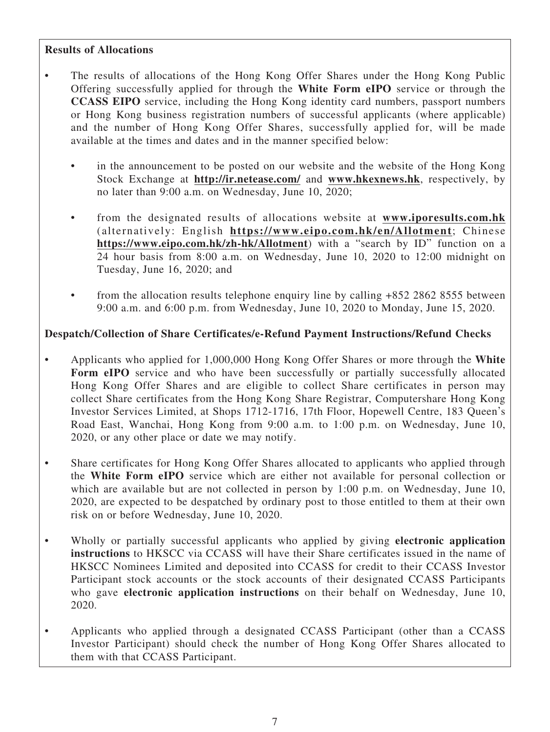### **Results of Allocations**

- The results of allocations of the Hong Kong Offer Shares under the Hong Kong Public Offering successfully applied for through the **White Form eIPO** service or through the **CCASS EIPO** service, including the Hong Kong identity card numbers, passport numbers or Hong Kong business registration numbers of successful applicants (where applicable) and the number of Hong Kong Offer Shares, successfully applied for, will be made available at the times and dates and in the manner specified below:
	- in the announcement to be posted on our website and the website of the Hong Kong Stock Exchange at **http://ir.netease.com/** and **www.hkexnews.hk**, respectively, by no later than 9:00 a.m. on Wednesday, June 10, 2020;
	- from the designated results of allocations website at **www.iporesults.com.hk** (alternatively: English **https://www.eipo.com.hk/en/Allotment**; Chinese **https://www.eipo.com.hk/zh-hk/Allotment**) with a "search by ID" function on a 24 hour basis from 8:00 a.m. on Wednesday, June 10, 2020 to 12:00 midnight on Tuesday, June 16, 2020; and
	- from the allocation results telephone enquiry line by calling +852 2862 8555 between 9:00 a.m. and 6:00 p.m. from Wednesday, June 10, 2020 to Monday, June 15, 2020.

## **Despatch/Collection of Share Certificates/e-Refund Payment Instructions/Refund Checks**

- Applicants who applied for 1,000,000 Hong Kong Offer Shares or more through the **White**  Form eIPO service and who have been successfully or partially successfully allocated Hong Kong Offer Shares and are eligible to collect Share certificates in person may collect Share certificates from the Hong Kong Share Registrar, Computershare Hong Kong Investor Services Limited, at Shops 1712-1716, 17th Floor, Hopewell Centre, 183 Queen's Road East, Wanchai, Hong Kong from 9:00 a.m. to 1:00 p.m. on Wednesday, June 10, 2020, or any other place or date we may notify.
- Share certificates for Hong Kong Offer Shares allocated to applicants who applied through the **White Form eIPO** service which are either not available for personal collection or which are available but are not collected in person by 1:00 p.m. on Wednesday, June 10, 2020, are expected to be despatched by ordinary post to those entitled to them at their own risk on or before Wednesday, June 10, 2020.
- Wholly or partially successful applicants who applied by giving **electronic application instructions** to HKSCC via CCASS will have their Share certificates issued in the name of HKSCC Nominees Limited and deposited into CCASS for credit to their CCASS Investor Participant stock accounts or the stock accounts of their designated CCASS Participants who gave **electronic application instructions** on their behalf on Wednesday, June 10, 2020.
- Applicants who applied through a designated CCASS Participant (other than a CCASS Investor Participant) should check the number of Hong Kong Offer Shares allocated to them with that CCASS Participant.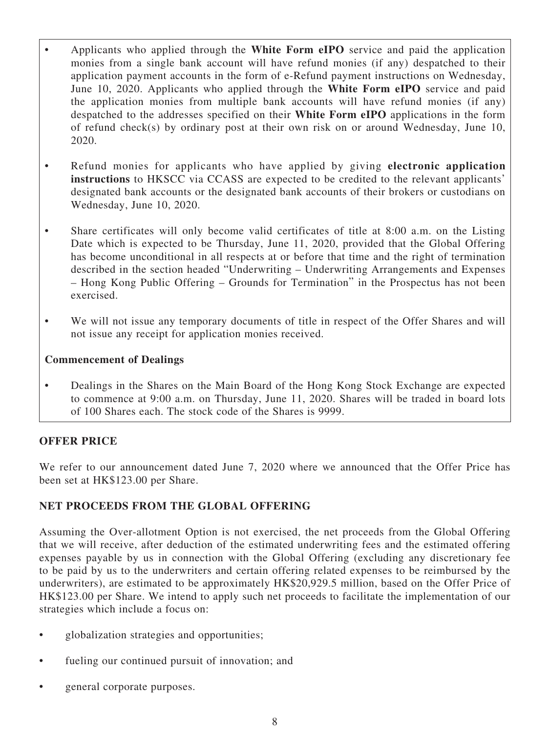- Applicants who applied through the **White Form eIPO** service and paid the application monies from a single bank account will have refund monies (if any) despatched to their application payment accounts in the form of e-Refund payment instructions on Wednesday, June 10, 2020. Applicants who applied through the **White Form eIPO** service and paid the application monies from multiple bank accounts will have refund monies (if any) despatched to the addresses specified on their **White Form eIPO** applications in the form of refund check(s) by ordinary post at their own risk on or around Wednesday, June 10, 2020.
- Refund monies for applicants who have applied by giving **electronic application instructions** to HKSCC via CCASS are expected to be credited to the relevant applicants' designated bank accounts or the designated bank accounts of their brokers or custodians on Wednesday, June 10, 2020.
- Share certificates will only become valid certificates of title at 8:00 a.m. on the Listing Date which is expected to be Thursday, June 11, 2020, provided that the Global Offering has become unconditional in all respects at or before that time and the right of termination described in the section headed "Underwriting – Underwriting Arrangements and Expenses – Hong Kong Public Offering – Grounds for Termination" in the Prospectus has not been exercised.
- We will not issue any temporary documents of title in respect of the Offer Shares and will not issue any receipt for application monies received.

### **Commencement of Dealings**

• Dealings in the Shares on the Main Board of the Hong Kong Stock Exchange are expected to commence at 9:00 a.m. on Thursday, June 11, 2020. Shares will be traded in board lots of 100 Shares each. The stock code of the Shares is 9999.

# **OFFER PRICE**

We refer to our announcement dated June 7, 2020 where we announced that the Offer Price has been set at HK\$123.00 per Share.

## **NET PROCEEDS FROM THE GLOBAL OFFERING**

Assuming the Over-allotment Option is not exercised, the net proceeds from the Global Offering that we will receive, after deduction of the estimated underwriting fees and the estimated offering expenses payable by us in connection with the Global Offering (excluding any discretionary fee to be paid by us to the underwriters and certain offering related expenses to be reimbursed by the underwriters), are estimated to be approximately HK\$20,929.5 million, based on the Offer Price of HK\$123.00 per Share. We intend to apply such net proceeds to facilitate the implementation of our strategies which include a focus on:

- globalization strategies and opportunities;
- fueling our continued pursuit of innovation; and
- general corporate purposes.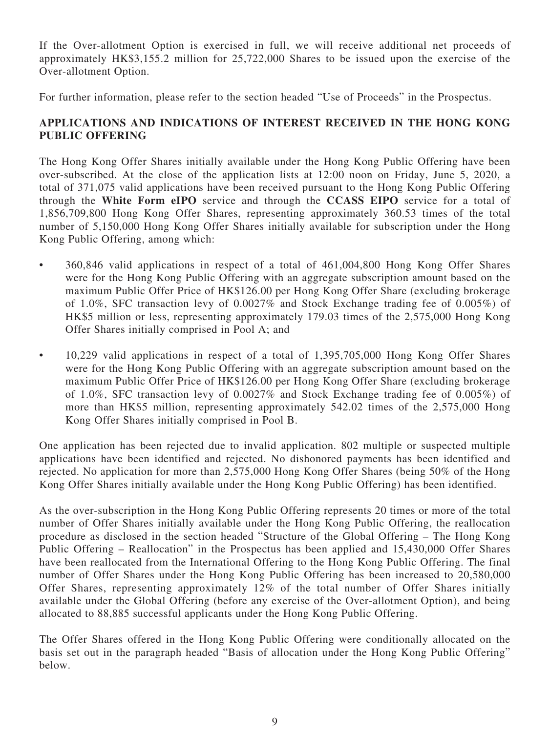If the Over-allotment Option is exercised in full, we will receive additional net proceeds of approximately HK\$3,155.2 million for 25,722,000 Shares to be issued upon the exercise of the Over-allotment Option.

For further information, please refer to the section headed "Use of Proceeds" in the Prospectus.

# **APPLICATIONS AND INDICATIONS OF INTEREST RECEIVED IN THE HONG KONG PUBLIC OFFERING**

The Hong Kong Offer Shares initially available under the Hong Kong Public Offering have been over-subscribed. At the close of the application lists at 12:00 noon on Friday, June 5, 2020, a total of 371,075 valid applications have been received pursuant to the Hong Kong Public Offering through the **White Form eIPO** service and through the **CCASS EIPO** service for a total of 1,856,709,800 Hong Kong Offer Shares, representing approximately 360.53 times of the total number of 5,150,000 Hong Kong Offer Shares initially available for subscription under the Hong Kong Public Offering, among which:

- 360,846 valid applications in respect of a total of 461,004,800 Hong Kong Offer Shares were for the Hong Kong Public Offering with an aggregate subscription amount based on the maximum Public Offer Price of HK\$126.00 per Hong Kong Offer Share (excluding brokerage of 1.0%, SFC transaction levy of 0.0027% and Stock Exchange trading fee of 0.005%) of HK\$5 million or less, representing approximately 179.03 times of the 2,575,000 Hong Kong Offer Shares initially comprised in Pool A; and
- 10,229 valid applications in respect of a total of 1,395,705,000 Hong Kong Offer Shares were for the Hong Kong Public Offering with an aggregate subscription amount based on the maximum Public Offer Price of HK\$126.00 per Hong Kong Offer Share (excluding brokerage of 1.0%, SFC transaction levy of 0.0027% and Stock Exchange trading fee of 0.005%) of more than HK\$5 million, representing approximately 542.02 times of the 2,575,000 Hong Kong Offer Shares initially comprised in Pool B.

One application has been rejected due to invalid application. 802 multiple or suspected multiple applications have been identified and rejected. No dishonored payments has been identified and rejected. No application for more than 2,575,000 Hong Kong Offer Shares (being 50% of the Hong Kong Offer Shares initially available under the Hong Kong Public Offering) has been identified.

As the over-subscription in the Hong Kong Public Offering represents 20 times or more of the total number of Offer Shares initially available under the Hong Kong Public Offering, the reallocation procedure as disclosed in the section headed "Structure of the Global Offering – The Hong Kong Public Offering – Reallocation" in the Prospectus has been applied and 15,430,000 Offer Shares have been reallocated from the International Offering to the Hong Kong Public Offering. The final number of Offer Shares under the Hong Kong Public Offering has been increased to 20,580,000 Offer Shares, representing approximately 12% of the total number of Offer Shares initially available under the Global Offering (before any exercise of the Over-allotment Option), and being allocated to 88,885 successful applicants under the Hong Kong Public Offering.

The Offer Shares offered in the Hong Kong Public Offering were conditionally allocated on the basis set out in the paragraph headed "Basis of allocation under the Hong Kong Public Offering" below.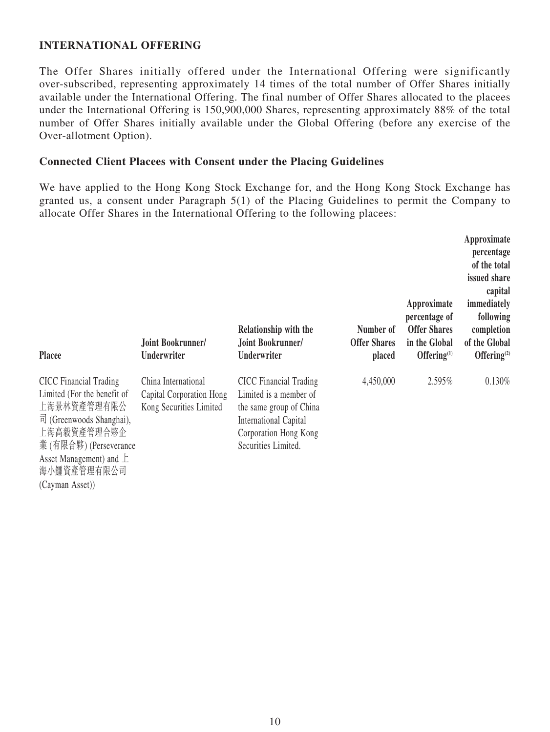### **INTERNATIONAL OFFERING**

The Offer Shares initially offered under the International Offering were significantly over-subscribed, representing approximately 14 times of the total number of Offer Shares initially available under the International Offering. The final number of Offer Shares allocated to the placees under the International Offering is 150,900,000 Shares, representing approximately 88% of the total number of Offer Shares initially available under the Global Offering (before any exercise of the Over-allotment Option).

#### **Connected Client Placees with Consent under the Placing Guidelines**

We have applied to the Hong Kong Stock Exchange for, and the Hong Kong Stock Exchange has granted us, a consent under Paragraph 5(1) of the Placing Guidelines to permit the Company to allocate Offer Shares in the International Offering to the following placees:

| <b>Placee</b>                                                                                                                                                                                                      | Joint Bookrunner/<br>Underwriter                                           | Relationship with the<br>Joint Bookrunner/<br>Underwriter                                                                                                          | Number of<br><b>Offer Shares</b><br>placed | Approximate<br>percentage of<br><b>Offer Shares</b><br>in the Global<br>Offering $(1)$ | Approximate<br>percentage<br>of the total<br>issued share<br>capital<br>immediately<br>following<br>completion<br>of the Global<br>Offering $(2)$ |
|--------------------------------------------------------------------------------------------------------------------------------------------------------------------------------------------------------------------|----------------------------------------------------------------------------|--------------------------------------------------------------------------------------------------------------------------------------------------------------------|--------------------------------------------|----------------------------------------------------------------------------------------|---------------------------------------------------------------------------------------------------------------------------------------------------|
| <b>CICC</b> Financial Trading<br>Limited (For the benefit of<br>上海景林資產管理有限公<br>$\overrightarrow{\Pi}$ (Greenwoods Shanghai),<br>上海高毅資產管理合夥企<br>業(有限合夥) (Perseverance<br>Asset Management) and $\pm$<br>海小鱷資產管理有限公司 | China International<br>Capital Corporation Hong<br>Kong Securities Limited | <b>CICC</b> Financial Trading<br>Limited is a member of<br>the same group of China<br><b>International Capital</b><br>Corporation Hong Kong<br>Securities Limited. | 4,450,000                                  | 2.595%                                                                                 | 0.130%                                                                                                                                            |

(Cayman Asset))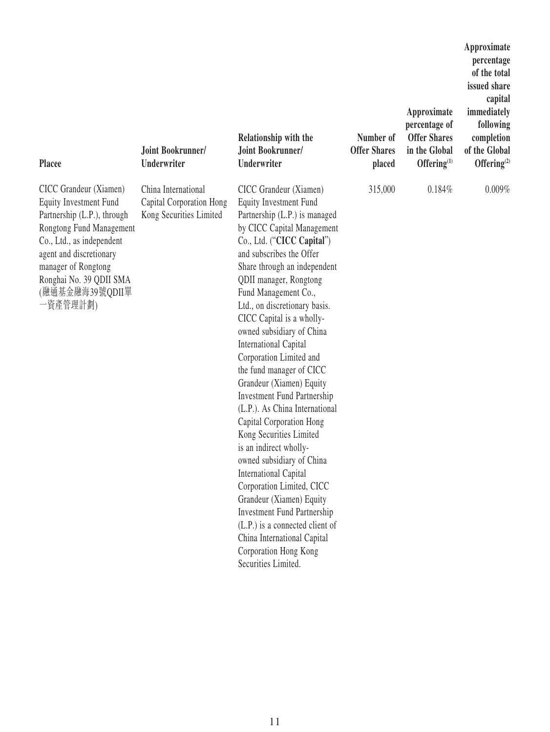| <b>Placee</b>                                                                                                                                                                                                                                               | Joint Bookrunner/<br><b>Underwriter</b>                                    | Relationship with the<br>Joint Bookrunner/<br>Underwriter                                                                                                                                                                                                                                                                                                                                                                                                                                                                                                                                                                                                                                                                                                                                                                                                                                                               | Number of<br><b>Offer Shares</b><br>placed | Approximate<br>percentage of<br><b>Offer Shares</b><br>in the Global<br>Offering $^{(1)}$ | Approximate<br>percentage<br>of the total<br>issued share<br>capital<br>immediately<br>following<br>completion<br>of the Global<br>Offering <sup>(2)</sup> |
|-------------------------------------------------------------------------------------------------------------------------------------------------------------------------------------------------------------------------------------------------------------|----------------------------------------------------------------------------|-------------------------------------------------------------------------------------------------------------------------------------------------------------------------------------------------------------------------------------------------------------------------------------------------------------------------------------------------------------------------------------------------------------------------------------------------------------------------------------------------------------------------------------------------------------------------------------------------------------------------------------------------------------------------------------------------------------------------------------------------------------------------------------------------------------------------------------------------------------------------------------------------------------------------|--------------------------------------------|-------------------------------------------------------------------------------------------|------------------------------------------------------------------------------------------------------------------------------------------------------------|
| CICC Grandeur (Xiamen)<br><b>Equity Investment Fund</b><br>Partnership (L.P.), through<br>Rongtong Fund Management<br>Co., Ltd., as independent<br>agent and discretionary<br>manager of Rongtong<br>Ronghai No. 39 QDII SMA<br>(融通基金融海39號QDII單<br>-資產管理計劃) | China International<br>Capital Corporation Hong<br>Kong Securities Limited | CICC Grandeur (Xiamen)<br><b>Equity Investment Fund</b><br>Partnership (L.P.) is managed<br>by CICC Capital Management<br>Co., Ltd. ("CICC Capital")<br>and subscribes the Offer<br>Share through an independent<br>QDII manager, Rongtong<br>Fund Management Co.,<br>Ltd., on discretionary basis.<br>CICC Capital is a wholly-<br>owned subsidiary of China<br><b>International Capital</b><br>Corporation Limited and<br>the fund manager of CICC<br>Grandeur (Xiamen) Equity<br><b>Investment Fund Partnership</b><br>(L.P.). As China International<br>Capital Corporation Hong<br>Kong Securities Limited<br>is an indirect wholly-<br>owned subsidiary of China<br><b>International Capital</b><br>Corporation Limited, CICC<br>Grandeur (Xiamen) Equity<br><b>Investment Fund Partnership</b><br>(L.P.) is a connected client of<br>China International Capital<br>Corporation Hong Kong<br>Securities Limited. | 315,000                                    | 0.184%                                                                                    | 0.009%                                                                                                                                                     |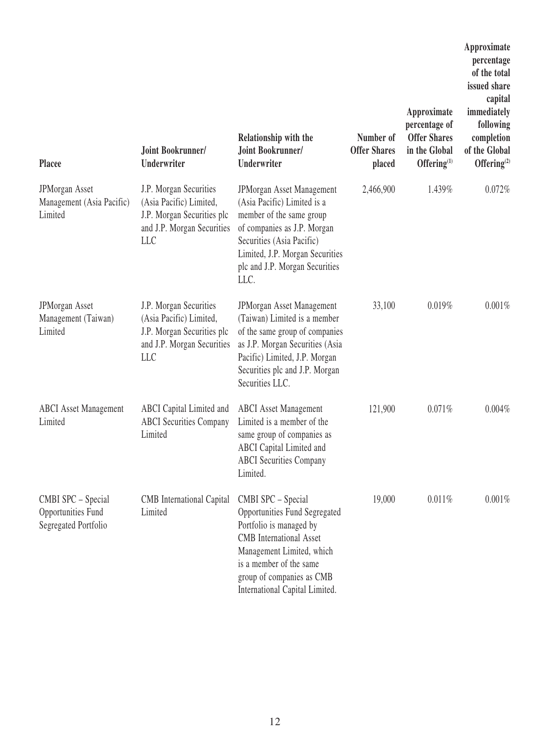| <b>Placee</b>                                                           | Joint Bookrunner/<br><b>Underwriter</b>                                                                                     | Relationship with the<br>Joint Bookrunner/<br><b>Underwriter</b>                                                                                                                                                                        | Number of<br><b>Offer Shares</b><br>placed | Approximate<br>percentage of<br><b>Offer Shares</b><br>in the Global<br>Offering $(1)$ | Approximate<br>percentage<br>of the total<br>issued share<br>capital<br>immediately<br>following<br>completion<br>of the Global<br>Offering <sup>(2)</sup> |
|-------------------------------------------------------------------------|-----------------------------------------------------------------------------------------------------------------------------|-----------------------------------------------------------------------------------------------------------------------------------------------------------------------------------------------------------------------------------------|--------------------------------------------|----------------------------------------------------------------------------------------|------------------------------------------------------------------------------------------------------------------------------------------------------------|
| <b>JPMorgan Asset</b><br>Management (Asia Pacific)<br>Limited           | J.P. Morgan Securities<br>(Asia Pacific) Limited,<br>J.P. Morgan Securities plc<br>and J.P. Morgan Securities<br><b>LLC</b> | JPMorgan Asset Management<br>(Asia Pacific) Limited is a<br>member of the same group<br>of companies as J.P. Morgan<br>Securities (Asia Pacific)<br>Limited, J.P. Morgan Securities<br>plc and J.P. Morgan Securities<br>LLC.           | 2,466,900                                  | 1.439%                                                                                 | 0.072%                                                                                                                                                     |
| <b>JPMorgan Asset</b><br>Management (Taiwan)<br>Limited                 | J.P. Morgan Securities<br>(Asia Pacific) Limited,<br>J.P. Morgan Securities plc<br>and J.P. Morgan Securities<br><b>LLC</b> | JPMorgan Asset Management<br>(Taiwan) Limited is a member<br>of the same group of companies<br>as J.P. Morgan Securities (Asia<br>Pacific) Limited, J.P. Morgan<br>Securities plc and J.P. Morgan<br>Securities LLC.                    | 33,100                                     | 0.019%                                                                                 | 0.001%                                                                                                                                                     |
| <b>ABCI</b> Asset Management<br>Limited                                 | ABCI Capital Limited and<br><b>ABCI</b> Securities Company<br>Limited                                                       | <b>ABCI</b> Asset Management<br>Limited is a member of the<br>same group of companies as<br>ABCI Capital Limited and<br><b>ABCI</b> Securities Company<br>Limited.                                                                      | 121,900                                    | 0.071%                                                                                 | 0.004%                                                                                                                                                     |
| CMBI SPC - Special<br><b>Opportunities Fund</b><br>Segregated Portfolio | CMB International Capital<br>Limited                                                                                        | CMBI SPC - Special<br>Opportunities Fund Segregated<br>Portfolio is managed by<br><b>CMB</b> International Asset<br>Management Limited, which<br>is a member of the same<br>group of companies as CMB<br>International Capital Limited. | 19,000                                     | 0.011%                                                                                 | 0.001%                                                                                                                                                     |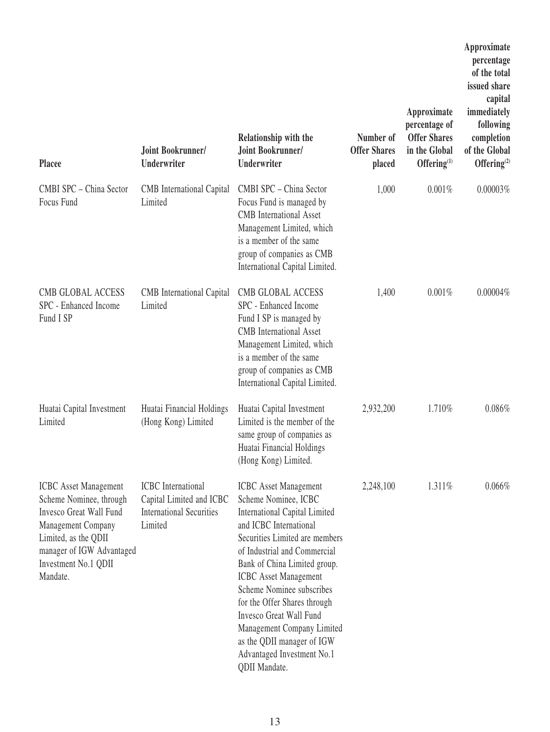| Placee                                                                                                                                                                                            | Joint Bookrunner/<br>Underwriter                                                                    | Relationship with the<br>Joint Bookrunner/<br>Underwriter                                                                                                                                                                                                                                                                                                                                                                                                   | Number of<br><b>Offer Shares</b><br>placed | Approximate<br>percentage of<br><b>Offer Shares</b><br>in the Global<br>Offering $(1)$ | Approximate<br>percentage<br>of the total<br>issued share<br>capital<br>immediately<br>following<br>completion<br>of the Global<br>Offering $(2)$ |
|---------------------------------------------------------------------------------------------------------------------------------------------------------------------------------------------------|-----------------------------------------------------------------------------------------------------|-------------------------------------------------------------------------------------------------------------------------------------------------------------------------------------------------------------------------------------------------------------------------------------------------------------------------------------------------------------------------------------------------------------------------------------------------------------|--------------------------------------------|----------------------------------------------------------------------------------------|---------------------------------------------------------------------------------------------------------------------------------------------------|
| CMBI SPC - China Sector<br>Focus Fund                                                                                                                                                             | <b>CMB</b> International Capital<br>Limited                                                         | CMBI SPC - China Sector<br>Focus Fund is managed by<br><b>CMB</b> International Asset<br>Management Limited, which<br>is a member of the same<br>group of companies as CMB<br>International Capital Limited.                                                                                                                                                                                                                                                | 1,000                                      | 0.001%                                                                                 | 0.00003%                                                                                                                                          |
| <b>CMB GLOBAL ACCESS</b><br>SPC - Enhanced Income<br>Fund I SP                                                                                                                                    | <b>CMB</b> International Capital<br>Limited                                                         | <b>CMB GLOBAL ACCESS</b><br>SPC - Enhanced Income<br>Fund I SP is managed by<br><b>CMB</b> International Asset<br>Management Limited, which<br>is a member of the same<br>group of companies as CMB<br>International Capital Limited.                                                                                                                                                                                                                       | 1,400                                      | 0.001%                                                                                 | 0.00004%                                                                                                                                          |
| Huatai Capital Investment<br>Limited                                                                                                                                                              | Huatai Financial Holdings<br>(Hong Kong) Limited                                                    | Huatai Capital Investment<br>Limited is the member of the<br>same group of companies as<br>Huatai Financial Holdings<br>(Hong Kong) Limited.                                                                                                                                                                                                                                                                                                                | 2,932,200                                  | 1.710%                                                                                 | 0.086%                                                                                                                                            |
| <b>ICBC</b> Asset Management<br>Scheme Nominee, through<br>Invesco Great Wall Fund<br>Management Company<br>Limited, as the QDII<br>manager of IGW Advantaged<br>Investment No.1 QDII<br>Mandate. | <b>ICBC</b> International<br>Capital Limited and ICBC<br><b>International Securities</b><br>Limited | <b>ICBC</b> Asset Management<br>Scheme Nominee, ICBC<br><b>International Capital Limited</b><br>and ICBC International<br>Securities Limited are members<br>of Industrial and Commercial<br>Bank of China Limited group.<br><b>ICBC</b> Asset Management<br>Scheme Nominee subscribes<br>for the Offer Shares through<br>Invesco Great Wall Fund<br>Management Company Limited<br>as the QDII manager of IGW<br>Advantaged Investment No.1<br>QDII Mandate. | 2,248,100                                  | 1.311%                                                                                 | 0.066%                                                                                                                                            |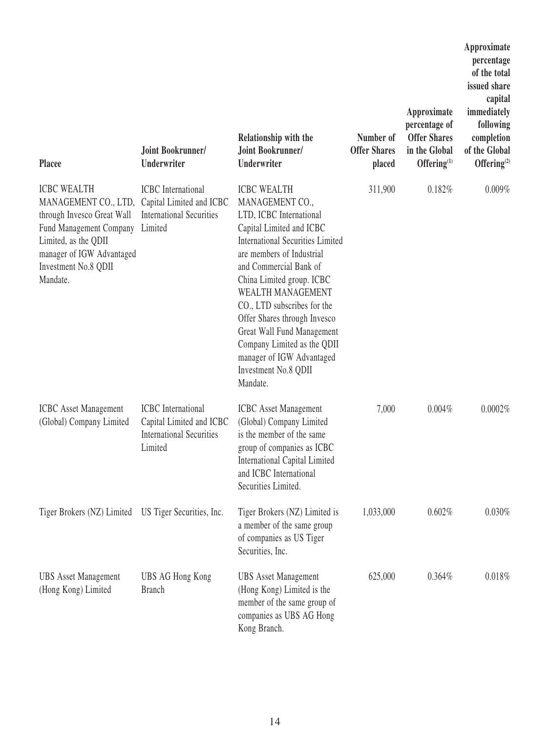| <b>Placee</b>                                                                                                                                                                                | Joint Bookrunner/<br>Underwriter                                                                    | Relationship with the<br>Joint Bookrunner/<br>Underwriter                                                                                                                                                                                                                                                                                                                                                                                     | Number of<br><b>Offer Shares</b><br>placed | Approximate<br>percentage of<br><b>Offer Shares</b><br>in the Global<br>Offering $(1)$ | Approximate<br>percentage<br>of the total<br>issued share<br>capital<br>immediately<br>following<br>completion<br>of the Global<br>Offering $(2)$ |
|----------------------------------------------------------------------------------------------------------------------------------------------------------------------------------------------|-----------------------------------------------------------------------------------------------------|-----------------------------------------------------------------------------------------------------------------------------------------------------------------------------------------------------------------------------------------------------------------------------------------------------------------------------------------------------------------------------------------------------------------------------------------------|--------------------------------------------|----------------------------------------------------------------------------------------|---------------------------------------------------------------------------------------------------------------------------------------------------|
| <b>ICBC WEALTH</b><br>MANAGEMENT CO., LTD,<br>through Invesco Great Wall<br>Fund Management Company<br>Limited, as the QDII<br>manager of IGW Advantaged<br>Investment No.8 QDII<br>Mandate. | <b>ICBC</b> International<br>Capital Limited and ICBC<br><b>International Securities</b><br>Limited | <b>ICBC WEALTH</b><br>MANAGEMENT CO.,<br>LTD, ICBC International<br>Capital Limited and ICBC<br><b>International Securities Limited</b><br>are members of Industrial<br>and Commercial Bank of<br>China Limited group. ICBC<br>WEALTH MANAGEMENT<br>CO., LTD subscribes for the<br>Offer Shares through Invesco<br>Great Wall Fund Management<br>Company Limited as the QDII<br>manager of IGW Advantaged<br>Investment No.8 QDII<br>Mandate. | 311,900                                    | 0.182%                                                                                 | 0.009%                                                                                                                                            |
| <b>ICBC</b> Asset Management<br>(Global) Company Limited                                                                                                                                     | <b>ICBC</b> International<br>Capital Limited and ICBC<br><b>International Securities</b><br>Limited | <b>ICBC</b> Asset Management<br>(Global) Company Limited<br>is the member of the same<br>group of companies as ICBC<br>International Capital Limited<br>and ICBC International<br>Securities Limited.                                                                                                                                                                                                                                         | 7,000                                      | 0.004%                                                                                 | 0.0002%                                                                                                                                           |
| Tiger Brokers (NZ) Limited US Tiger Securities, Inc.                                                                                                                                         |                                                                                                     | Tiger Brokers (NZ) Limited is<br>a member of the same group<br>of companies as US Tiger<br>Securities, Inc.                                                                                                                                                                                                                                                                                                                                   | 1,033,000                                  | 0.602%                                                                                 | 0.030%                                                                                                                                            |
| <b>UBS</b> Asset Management<br>(Hong Kong) Limited                                                                                                                                           | UBS AG Hong Kong<br><b>Branch</b>                                                                   | <b>UBS</b> Asset Management<br>(Hong Kong) Limited is the<br>member of the same group of<br>companies as UBS AG Hong<br>Kong Branch.                                                                                                                                                                                                                                                                                                          | 625,000                                    | 0.364%                                                                                 | 0.018%                                                                                                                                            |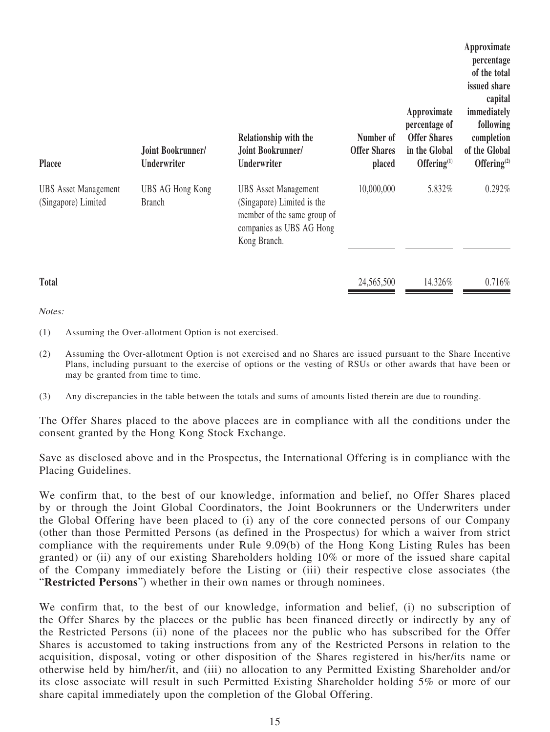| <b>Placee</b>                                      | Joint Bookrunner/<br>Underwriter  | Relationship with the<br>Joint Bookrunner/<br>Underwriter                                                                            | Number of<br><b>Offer Shares</b><br>placed | Approximate<br>percentage of<br><b>Offer Shares</b><br>in the Global<br>Offering $(1)$ | Approximate<br>percentage<br>of the total<br>issued share<br>capital<br>immediately<br>following<br>completion<br>of the Global<br>Offering $(2)$ |
|----------------------------------------------------|-----------------------------------|--------------------------------------------------------------------------------------------------------------------------------------|--------------------------------------------|----------------------------------------------------------------------------------------|---------------------------------------------------------------------------------------------------------------------------------------------------|
| <b>UBS</b> Asset Management<br>(Singapore) Limited | UBS AG Hong Kong<br><b>Branch</b> | <b>UBS</b> Asset Management<br>(Singapore) Limited is the<br>member of the same group of<br>companies as UBS AG Hong<br>Kong Branch. | 10,000,000                                 | 5.832%                                                                                 | 0.292%                                                                                                                                            |
| <b>Total</b>                                       |                                   |                                                                                                                                      | 24,565,500                                 | 14.326%                                                                                | 0.716%                                                                                                                                            |

Notes:

- (1) Assuming the Over-allotment Option is not exercised.
- (2) Assuming the Over-allotment Option is not exercised and no Shares are issued pursuant to the Share Incentive Plans, including pursuant to the exercise of options or the vesting of RSUs or other awards that have been or may be granted from time to time.
- (3) Any discrepancies in the table between the totals and sums of amounts listed therein are due to rounding.

The Offer Shares placed to the above placees are in compliance with all the conditions under the consent granted by the Hong Kong Stock Exchange.

Save as disclosed above and in the Prospectus, the International Offering is in compliance with the Placing Guidelines.

We confirm that, to the best of our knowledge, information and belief, no Offer Shares placed by or through the Joint Global Coordinators, the Joint Bookrunners or the Underwriters under the Global Offering have been placed to (i) any of the core connected persons of our Company (other than those Permitted Persons (as defined in the Prospectus) for which a waiver from strict compliance with the requirements under Rule 9.09(b) of the Hong Kong Listing Rules has been granted) or (ii) any of our existing Shareholders holding 10% or more of the issued share capital of the Company immediately before the Listing or (iii) their respective close associates (the "**Restricted Persons**") whether in their own names or through nominees.

We confirm that, to the best of our knowledge, information and belief, (i) no subscription of the Offer Shares by the placees or the public has been financed directly or indirectly by any of the Restricted Persons (ii) none of the placees nor the public who has subscribed for the Offer Shares is accustomed to taking instructions from any of the Restricted Persons in relation to the acquisition, disposal, voting or other disposition of the Shares registered in his/her/its name or otherwise held by him/her/it, and (iii) no allocation to any Permitted Existing Shareholder and/or its close associate will result in such Permitted Existing Shareholder holding 5% or more of our share capital immediately upon the completion of the Global Offering.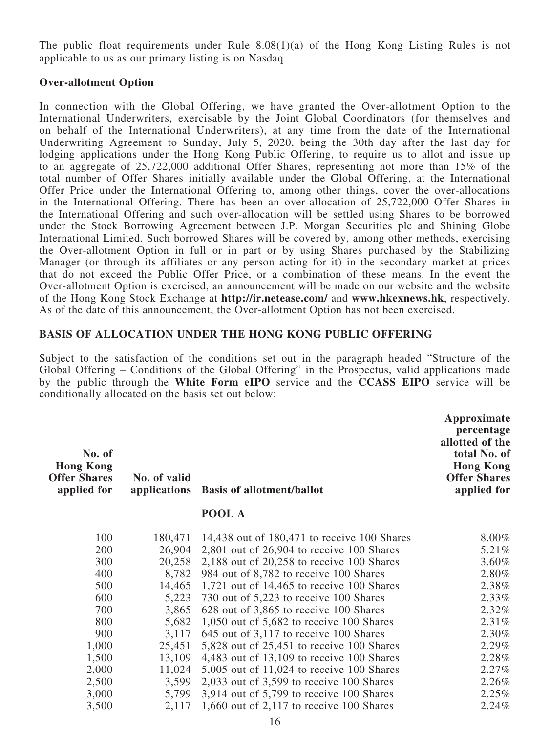The public float requirements under Rule 8.08(1)(a) of the Hong Kong Listing Rules is not applicable to us as our primary listing is on Nasdaq.

#### **Over-allotment Option**

In connection with the Global Offering, we have granted the Over-allotment Option to the International Underwriters, exercisable by the Joint Global Coordinators (for themselves and on behalf of the International Underwriters), at any time from the date of the International Underwriting Agreement to Sunday, July 5, 2020, being the 30th day after the last day for lodging applications under the Hong Kong Public Offering, to require us to allot and issue up to an aggregate of 25,722,000 additional Offer Shares, representing not more than 15% of the total number of Offer Shares initially available under the Global Offering, at the International Offer Price under the International Offering to, among other things, cover the over-allocations in the International Offering. There has been an over-allocation of 25,722,000 Offer Shares in the International Offering and such over-allocation will be settled using Shares to be borrowed under the Stock Borrowing Agreement between J.P. Morgan Securities plc and Shining Globe International Limited. Such borrowed Shares will be covered by, among other methods, exercising the Over-allotment Option in full or in part or by using Shares purchased by the Stabilizing Manager (or through its affiliates or any person acting for it) in the secondary market at prices that do not exceed the Public Offer Price, or a combination of these means. In the event the Over-allotment Option is exercised, an announcement will be made on our website and the website of the Hong Kong Stock Exchange at **http://ir.netease.com/** and **www.hkexnews.hk**, respectively. As of the date of this announcement, the Over-allotment Option has not been exercised.

#### **BASIS OF ALLOCATION UNDER THE HONG KONG PUBLIC OFFERING**

Subject to the satisfaction of the conditions set out in the paragraph headed "Structure of the Global Offering – Conditions of the Global Offering" in the Prospectus, valid applications made by the public through the **White Form eIPO** service and the **CCASS EIPO** service will be conditionally allocated on the basis set out below:

| No. of<br><b>Hong Kong</b><br><b>Offer Shares</b><br>applied for | No. of valid<br>applications | <b>Basis of allotment/ballot</b>              | Approximate<br>percentage<br>allotted of the<br>total No. of<br><b>Hong Kong</b><br><b>Offer Shares</b><br>applied for |
|------------------------------------------------------------------|------------------------------|-----------------------------------------------|------------------------------------------------------------------------------------------------------------------------|
|                                                                  |                              | POOL A                                        |                                                                                                                        |
| 100                                                              | 180,471                      | 14,438 out of 180,471 to receive 100 Shares   | 8.00%                                                                                                                  |
| 200                                                              | 26,904                       | $2,801$ out of $26,904$ to receive 100 Shares | 5.21%                                                                                                                  |
| 300                                                              | 20,258                       | 2,188 out of $20,258$ to receive 100 Shares   | 3.60%                                                                                                                  |
| 400                                                              | 8,782                        | 984 out of 8,782 to receive 100 Shares        | 2.80%                                                                                                                  |
| 500                                                              | 14,465                       | 1,721 out of $14,465$ to receive 100 Shares   | 2.38%                                                                                                                  |
| 600                                                              | 5,223                        | 730 out of 5,223 to receive 100 Shares        | 2.33%                                                                                                                  |
| 700                                                              | 3,865                        | 628 out of 3,865 to receive 100 Shares        | 2.32%                                                                                                                  |
| 800                                                              | 5,682                        | 1,050 out of $5,682$ to receive 100 Shares    | 2.31%                                                                                                                  |
| 900                                                              | 3,117                        | 645 out of 3,117 to receive 100 Shares        | 2.30%                                                                                                                  |
| 1,000                                                            | 25,451                       | $5,828$ out of 25,451 to receive 100 Shares   | 2.29%                                                                                                                  |
| 1,500                                                            | 13,109                       | 4,483 out of 13,109 to receive 100 Shares     | 2.28%                                                                                                                  |
| 2,000                                                            | 11,024                       | $5,005$ out of 11,024 to receive 100 Shares   | 2.27%                                                                                                                  |
| 2,500                                                            | 3,599                        | $2,033$ out of 3,599 to receive 100 Shares    | 2.26%                                                                                                                  |
| 3,000                                                            | 5,799                        | 3,914 out of 5,799 to receive 100 Shares      | 2.25%                                                                                                                  |
| 3,500                                                            | 2,117                        | 1,660 out of 2,117 to receive 100 Shares      | 2.24%                                                                                                                  |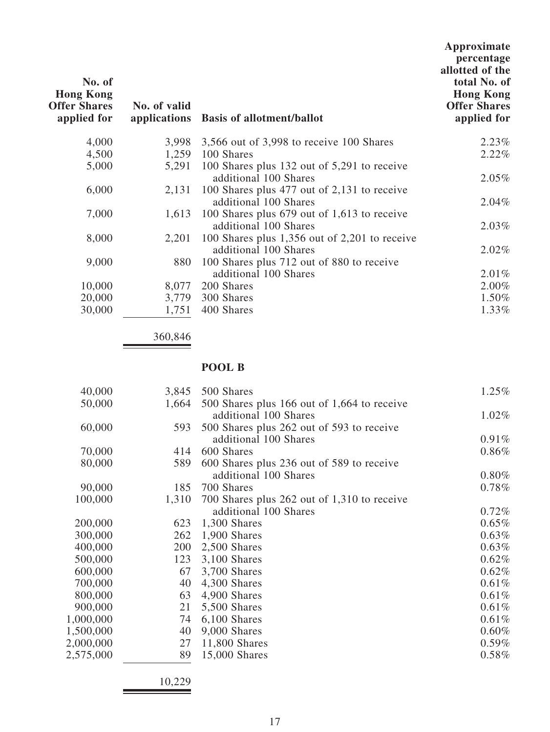| No. of<br><b>Hong Kong</b><br><b>Offer Shares</b><br>applied for | No. of valid | applications Basis of allotment/ballot                                     | Approximate<br>percentage<br>allotted of the<br>total No. of<br><b>Hong Kong</b><br><b>Offer Shares</b><br>applied for |
|------------------------------------------------------------------|--------------|----------------------------------------------------------------------------|------------------------------------------------------------------------------------------------------------------------|
| 4,000                                                            |              | 3,998 3,566 out of 3,998 to receive 100 Shares                             | 2.23%                                                                                                                  |
| 4,500                                                            |              | 1,259 100 Shares                                                           | 2.22%                                                                                                                  |
| 5,000                                                            |              | 5,291 100 Shares plus 132 out of 5,291 to receive<br>additional 100 Shares | 2.05%                                                                                                                  |
| 6,000                                                            | 2,131        | 100 Shares plus 477 out of 2,131 to receive<br>additional 100 Shares       | $2.04\%$                                                                                                               |
| 7,000                                                            |              | 1,613 100 Shares plus 679 out of 1,613 to receive<br>additional 100 Shares | 2.03%                                                                                                                  |
| 8,000                                                            | 2,201        | 100 Shares plus $1,356$ out of 2,201 to receive<br>additional 100 Shares   | $2.02\%$                                                                                                               |
| 9,000                                                            | 880          | 100 Shares plus 712 out of 880 to receive<br>additional 100 Shares         | $2.01\%$                                                                                                               |
| 10,000                                                           | 8,077        | 200 Shares                                                                 | $2.00\%$                                                                                                               |
| 20,000                                                           | 3,779        | 300 Shares                                                                 | 1.50%                                                                                                                  |
| 30,000                                                           | 1,751        | 400 Shares                                                                 | 1.33%                                                                                                                  |

360,846

## **POOL B**

| 40,000    | 3,845 | 500 Shares                                  | 1.25%    |
|-----------|-------|---------------------------------------------|----------|
| 50,000    | 1,664 | 500 Shares plus 166 out of 1,664 to receive |          |
|           |       | additional 100 Shares                       | 1.02%    |
| 60,000    | 593   | 500 Shares plus 262 out of 593 to receive   |          |
|           |       | additional 100 Shares                       | 0.91%    |
| 70,000    | 414   | 600 Shares                                  | 0.86%    |
| 80,000    | 589   | 600 Shares plus 236 out of 589 to receive   |          |
|           |       | additional 100 Shares                       | $0.80\%$ |
| 90,000    | 185   | 700 Shares                                  | 0.78%    |
| 100,000   | 1,310 | 700 Shares plus 262 out of 1,310 to receive |          |
|           |       | additional 100 Shares                       | 0.72%    |
| 200,000   | 623   | 1,300 Shares                                | 0.65%    |
| 300,000   | 262   | 1,900 Shares                                | 0.63%    |
| 400,000   | 200   | 2,500 Shares                                | 0.63%    |
| 500,000   | 123   | $3,100$ Shares                              | 0.62%    |
| 600,000   | 67    | 3,700 Shares                                | 0.62%    |
| 700,000   | 40    | 4,300 Shares                                | 0.61%    |
| 800,000   | 63    | 4,900 Shares                                | 0.61%    |
| 900,000   | 21    | 5,500 Shares                                | 0.61%    |
| 1,000,000 | 74    | $6,100$ Shares                              | 0.61%    |
| 1,500,000 | 40    | 9,000 Shares                                | 0.60%    |
| 2,000,000 | 27    | 11,800 Shares                               | $0.59\%$ |
| 2,575,000 | 89    | 15,000 Shares                               | $0.58\%$ |
|           |       |                                             |          |

10,229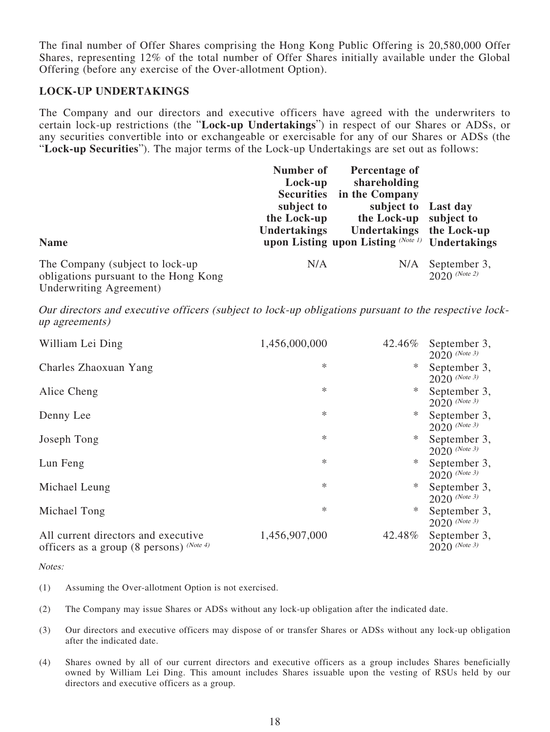The final number of Offer Shares comprising the Hong Kong Public Offering is 20,580,000 Offer Shares, representing 12% of the total number of Offer Shares initially available under the Global Offering (before any exercise of the Over-allotment Option).

#### **LOCK-UP UNDERTAKINGS**

The Company and our directors and executive officers have agreed with the underwriters to certain lock-up restrictions (the "**Lock-up Undertakings**") in respect of our Shares or ADSs, or any securities convertible into or exchangeable or exercisable for any of our Shares or ADSs (the "**Lock-up Securities**"). The major terms of the Lock-up Undertakings are set out as follows:

| <b>Name</b>                                                                                          | Number of<br>Lock-up<br><b>Securities</b><br>subject to<br>the Lock-up<br><b>Undertakings</b> | Percentage of<br>shareholding<br>in the Company<br>subject to Last day<br>the Lock-up subject to<br>Undertakings the Lock-up<br>upon Listing upon Listing (Note 1) Undertakings |                                 |
|------------------------------------------------------------------------------------------------------|-----------------------------------------------------------------------------------------------|---------------------------------------------------------------------------------------------------------------------------------------------------------------------------------|---------------------------------|
| The Company (subject to lock-up)<br>obligations pursuant to the Hong Kong<br>Underwriting Agreement) | N/A                                                                                           | N/A                                                                                                                                                                             | September 3,<br>$2020$ (Note 2) |

Our directors and executive officers (subject to lock-up obligations pursuant to the respective lockup agreements)

| William Lei Ding                                                                     | 1,456,000,000 | 42.46% | September 3,<br>$2020$ (Note 3) |
|--------------------------------------------------------------------------------------|---------------|--------|---------------------------------|
| Charles Zhaoxuan Yang                                                                | $\ast$        | ∗      | September 3,<br>$2020$ (Note 3) |
| Alice Cheng                                                                          | *             | ∗      | September 3,<br>$2020$ (Note 3) |
| Denny Lee                                                                            | $\ast$        | ∗      | September 3,<br>2020 (Note 3)   |
| Joseph Tong                                                                          | *             | ∗      | September 3,<br>$2020$ (Note 3) |
| Lun Feng                                                                             | $\ast$        | ∗      | September 3,<br>$2020$ (Note 3) |
| Michael Leung                                                                        | $\ast$        | ∗      | September 3,<br>$2020$ (Note 3) |
| Michael Tong                                                                         | *             | ∗      | September 3,<br>$2020$ (Note 3) |
| All current directors and executive<br>officers as a group (8 persons) $^{(Note 4)}$ | 1,456,907,000 | 42.48% | September 3,<br>$2020$ (Note 3) |

Notes:

- (1) Assuming the Over-allotment Option is not exercised.
- (2) The Company may issue Shares or ADSs without any lock-up obligation after the indicated date.
- (3) Our directors and executive officers may dispose of or transfer Shares or ADSs without any lock-up obligation after the indicated date.
- (4) Shares owned by all of our current directors and executive officers as a group includes Shares beneficially owned by William Lei Ding. This amount includes Shares issuable upon the vesting of RSUs held by our directors and executive officers as a group.